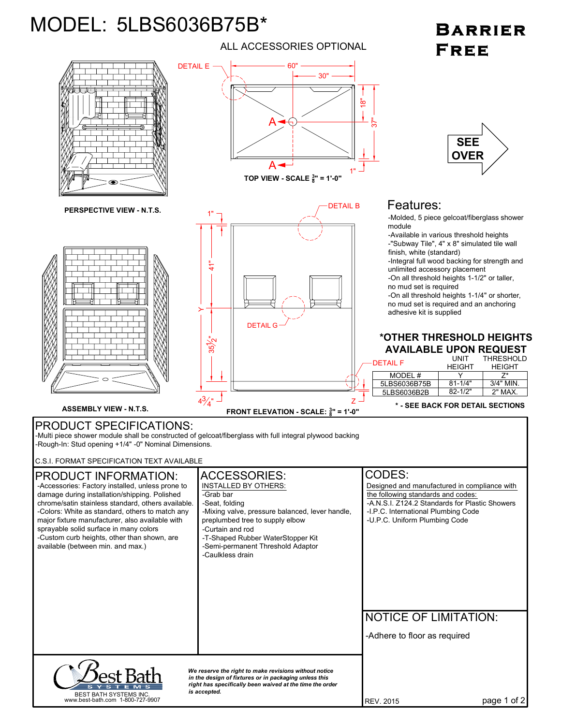## MODEL: 5LBS6036B75B\*

ALL ACCESSORIES OPTIONAL

## **BARRIER** FREE